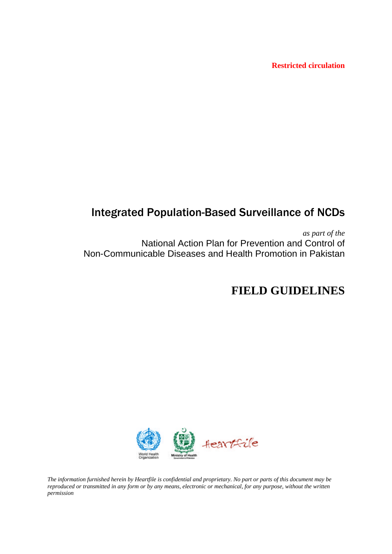**Restricted circulation** 

# Integrated Population-Based Surveillance of NCDs

*as part of the* National Action Plan for Prevention and Control of Non-Communicable Diseases and Health Promotion in Pakistan

# **FIELD GUIDELINES**



*The information furnished herein by Heartfile is confidential and proprietary. No part or parts of this document may be reproduced or transmitted in any form or by any means, electronic or mechanical, for any purpose, without the written permission*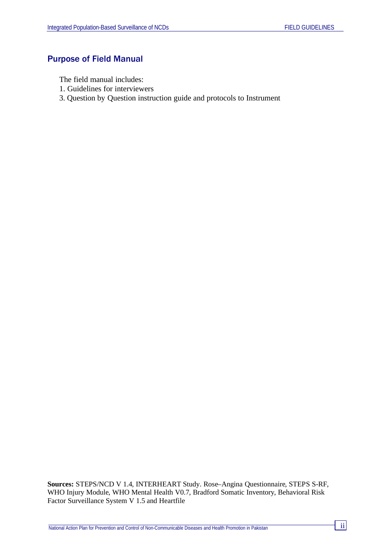# Purpose of Field Manual

The field manual includes:

- 1. Guidelines for interviewers
- 3. Question by Question instruction guide and protocols to Instrument

**Sources:** STEPS/NCD V 1.4, INTERHEART Study. Rose–Angina Questionnaire, STEPS S-RF, WHO Injury Module, WHO Mental Health V0.7, Bradford Somatic Inventory, Behavioral Risk Factor Surveillance System V 1.5 and Heartfile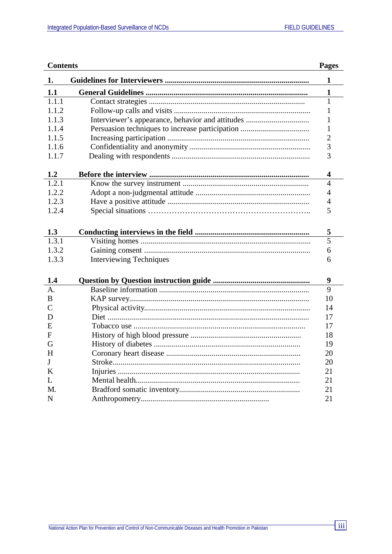| <b>Contents</b> |                                |                         |  |
|-----------------|--------------------------------|-------------------------|--|
| 1.              |                                | $\mathbf{1}$            |  |
| 1.1             |                                | $\mathbf{1}$            |  |
| 1.1.1           |                                | 1                       |  |
| 1.1.2           |                                | 1                       |  |
| 1.1.3           |                                | 1                       |  |
| 1.1.4           |                                | 1                       |  |
| 1.1.5           |                                | $\overline{2}$          |  |
| 1.1.6           |                                | 3                       |  |
| 1.1.7           |                                | 3                       |  |
| 1.2             |                                | $\overline{\mathbf{4}}$ |  |
| 1.2.1           |                                | $\overline{4}$          |  |
| 1.2.2           |                                | $\overline{4}$          |  |
| 1.2.3           |                                | $\overline{4}$          |  |
| 1.2.4           |                                | 5                       |  |
|                 |                                |                         |  |
| 1.3             |                                | 5                       |  |
| 1.3.1           |                                | 5                       |  |
| 1.3.2           |                                | 6                       |  |
| 1.3.3           | <b>Interviewing Techniques</b> | 6                       |  |
|                 |                                |                         |  |
| 1.4             |                                | 9                       |  |
| $\mathbf{A}$ .  |                                | 9                       |  |
| B               |                                | 10                      |  |
| $\overline{C}$  |                                | 14                      |  |
| D               |                                | 17                      |  |
| E               |                                | 17                      |  |
| F               |                                | 18                      |  |
| G               |                                | 19                      |  |
| H               |                                | 20                      |  |
| J               |                                | 20                      |  |
| K               |                                | 21                      |  |
| L               |                                | 21                      |  |
| M.              |                                | 21                      |  |
| $\mathbf N$     |                                | 21                      |  |

<u> 1980 - Jan Barat, politik a</u>

 $\overline{\mathbf{iii}}$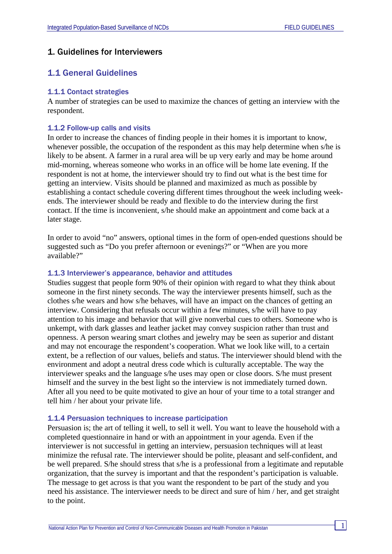# 1. Guidelines for Interviewers

# 1.1 General Guidelines

### 1.1.1 Contact strategies

A number of strategies can be used to maximize the chances of getting an interview with the respondent.

### 1.1.2 Follow-up calls and visits

In order to increase the chances of finding people in their homes it is important to know, whenever possible, the occupation of the respondent as this may help determine when s/he is likely to be absent. A farmer in a rural area will be up very early and may be home around mid-morning, whereas someone who works in an office will be home late evening. If the respondent is not at home, the interviewer should try to find out what is the best time for getting an interview. Visits should be planned and maximized as much as possible by establishing a contact schedule covering different times throughout the week including weekends. The interviewer should be ready and flexible to do the interview during the first contact. If the time is inconvenient, s/he should make an appointment and come back at a later stage.

In order to avoid "no" answers, optional times in the form of open-ended questions should be suggested such as "Do you prefer afternoon or evenings?" or "When are you more available?"

#### 1.1.3 Interviewer's appearance, behavior and attitudes

Studies suggest that people form 90% of their opinion with regard to what they think about someone in the first ninety seconds. The way the interviewer presents himself, such as the clothes s/he wears and how s/he behaves, will have an impact on the chances of getting an interview. Considering that refusals occur within a few minutes, s/he will have to pay attention to his image and behavior that will give nonverbal cues to others. Someone who is unkempt, with dark glasses and leather jacket may convey suspicion rather than trust and openness. A person wearing smart clothes and jewelry may be seen as superior and distant and may not encourage the respondent's cooperation. What we look like will, to a certain extent, be a reflection of our values, beliefs and status. The interviewer should blend with the environment and adopt a neutral dress code which is culturally acceptable. The way the interviewer speaks and the language s/he uses may open or close doors. S/he must present himself and the survey in the best light so the interview is not immediately turned down. After all you need to be quite motivated to give an hour of your time to a total stranger and tell him / her about your private life.

#### 1.1.4 Persuasion techniques to increase participation

Persuasion is; the art of telling it well, to sell it well. You want to leave the household with a completed questionnaire in hand or with an appointment in your agenda. Even if the interviewer is not successful in getting an interview, persuasion techniques will at least minimize the refusal rate. The interviewer should be polite, pleasant and self-confident, and be well prepared. S/he should stress that s/he is a professional from a legitimate and reputable organization, that the survey is important and that the respondent's participation is valuable. The message to get across is that you want the respondent to be part of the study and you need his assistance. The interviewer needs to be direct and sure of him / her, and get straight to the point.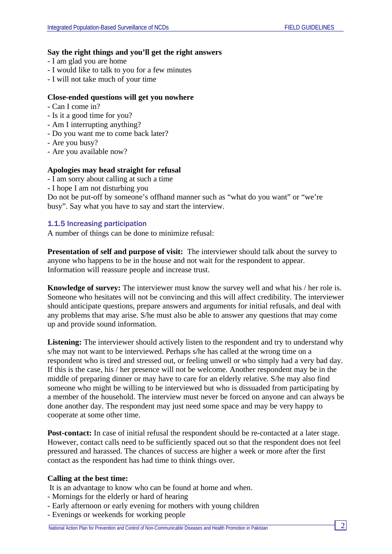### **Say the right things and you'll get the right answers**

- I am glad you are home
- I would like to talk to you for a few minutes
- I will not take much of your time

# **Close-ended questions will get you nowhere**

- Can I come in?
- Is it a good time for you?
- Am I interrupting anything?
- Do you want me to come back later?
- Are you busy?
- Are you available now?

# **Apologies may head straight for refusal**

- I am sorry about calling at such a time
- I hope I am not disturbing you

Do not be put-off by someone's offhand manner such as "what do you want" or "we're busy". Say what you have to say and start the interview.

# 1.1.5 Increasing participation

A number of things can be done to minimize refusal:

**Presentation of self and purpose of visit:** The interviewer should talk about the survey to anyone who happens to be in the house and not wait for the respondent to appear. Information will reassure people and increase trust.

**Knowledge of survey:** The interviewer must know the survey well and what his / her role is. Someone who hesitates will not be convincing and this will affect credibility. The interviewer should anticipate questions, prepare answers and arguments for initial refusals, and deal with any problems that may arise. S/he must also be able to answer any questions that may come up and provide sound information.

Listening: The interviewer should actively listen to the respondent and try to understand why s/he may not want to be interviewed. Perhaps s/he has called at the wrong time on a respondent who is tired and stressed out, or feeling unwell or who simply had a very bad day. If this is the case, his / her presence will not be welcome. Another respondent may be in the middle of preparing dinner or may have to care for an elderly relative. S/he may also find someone who might be willing to be interviewed but who is dissuaded from participating by a member of the household. The interview must never be forced on anyone and can always be done another day. The respondent may just need some space and may be very happy to cooperate at some other time.

**Post-contact:** In case of initial refusal the respondent should be re-contacted at a later stage. However, contact calls need to be sufficiently spaced out so that the respondent does not feel pressured and harassed. The chances of success are higher a week or more after the first contact as the respondent has had time to think things over.

# **Calling at the best time:**

It is an advantage to know who can be found at home and when.

- Mornings for the elderly or hard of hearing
- Early afternoon or early evening for mothers with young children
- Evenings or weekends for working people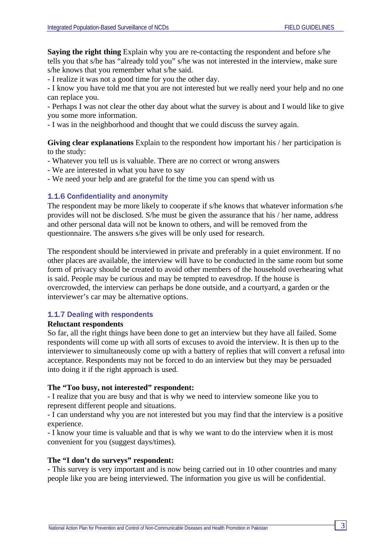**Saying the right thing** Explain why you are re-contacting the respondent and before s/he tells you that s/he has "already told you" s/he was not interested in the interview, make sure s/he knows that you remember what s/he said.

- I realize it was not a good time for you the other day.

- I know you have told me that you are not interested but we really need your help and no one can replace you.

- Perhaps I was not clear the other day about what the survey is about and I would like to give you some more information.

- I was in the neighborhood and thought that we could discuss the survey again.

**Giving clear explanations** Explain to the respondent how important his / her participation is to the study:

- Whatever you tell us is valuable. There are no correct or wrong answers
- We are interested in what you have to say
- We need your help and are grateful for the time you can spend with us

### 1.1.6 Confidentiality and anonymity

The respondent may be more likely to cooperate if s/he knows that whatever information s/he provides will not be disclosed. S/he must be given the assurance that his / her name, address and other personal data will not be known to others, and will be removed from the questionnaire. The answers s/he gives will be only used for research.

The respondent should be interviewed in private and preferably in a quiet environment. If no other places are available, the interview will have to be conducted in the same room but some form of privacy should be created to avoid other members of the household overhearing what is said. People may be curious and may be tempted to eavesdrop. If the house is overcrowded, the interview can perhaps be done outside, and a courtyard, a garden or the interviewer's car may be alternative options.

### 1.1.7 Dealing with respondents

#### **Reluctant respondents**

So far, all the right things have been done to get an interview but they have all failed. Some respondents will come up with all sorts of excuses to avoid the interview. It is then up to the interviewer to simultaneously come up with a battery of replies that will convert a refusal into acceptance. Respondents may not be forced to do an interview but they may be persuaded into doing it if the right approach is used.

### **The "Too busy, not interested" respondent:**

- I realize that you are busy and that is why we need to interview someone like you to represent different people and situations.

- I can understand why you are not interested but you may find that the interview is a positive experience.

- I know your time is valuable and that is why we want to do the interview when it is most convenient for you (suggest days/times).

#### **The "I don't do surveys" respondent:**

**-** This survey is very important and is now being carried out in 10 other countries and many people like you are being interviewed. The information you give us will be confidential.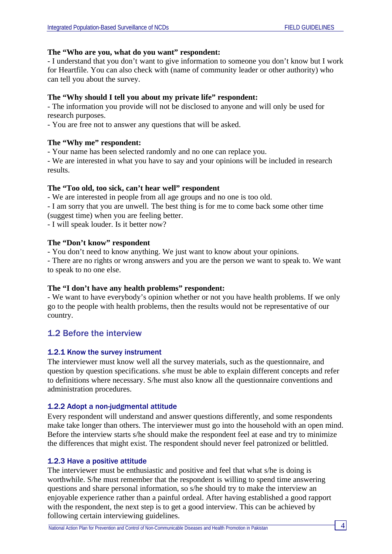# **The "Who are you, what do you want" respondent:**

- I understand that you don't want to give information to someone you don't know but I work for Heartfile. You can also check with (name of community leader or other authority) who can tell you about the survey.

# **The "Why should I tell you about my private life" respondent:**

- The information you provide will not be disclosed to anyone and will only be used for research purposes.

- You are free not to answer any questions that will be asked.

# **The "Why me" respondent:**

- Your name has been selected randomly and no one can replace you.

- We are interested in what you have to say and your opinions will be included in research results.

# **The "Too old, too sick, can't hear well" respondent**

- We are interested in people from all age groups and no one is too old.

- I am sorry that you are unwell. The best thing is for me to come back some other time (suggest time) when you are feeling better.

- I will speak louder. Is it better now?

# **The "Don't know" respondent**

- You don't need to know anything. We just want to know about your opinions.

- There are no rights or wrong answers and you are the person we want to speak to. We want to speak to no one else.

# **The "I don't have any health problems" respondent:**

- We want to have everybody's opinion whether or not you have health problems. If we only go to the people with health problems, then the results would not be representative of our country.

# 1.2 Before the interview

# 1.2.1 Know the survey instrument

The interviewer must know well all the survey materials, such as the questionnaire, and question by question specifications. s/he must be able to explain different concepts and refer to definitions where necessary. S/he must also know all the questionnaire conventions and administration procedures.

# 1.2.2 Adopt a non-judgmental attitude

Every respondent will understand and answer questions differently, and some respondents make take longer than others. The interviewer must go into the household with an open mind. Before the interview starts s/he should make the respondent feel at ease and try to minimize the differences that might exist. The respondent should never feel patronized or belittled.

### 1.2.3 Have a positive attitude

The interviewer must be enthusiastic and positive and feel that what s/he is doing is worthwhile. S/he must remember that the respondent is willing to spend time answering questions and share personal information, so s/he should try to make the interview an enjoyable experience rather than a painful ordeal. After having established a good rapport with the respondent, the next step is to get a good interview. This can be achieved by following certain interviewing guidelines.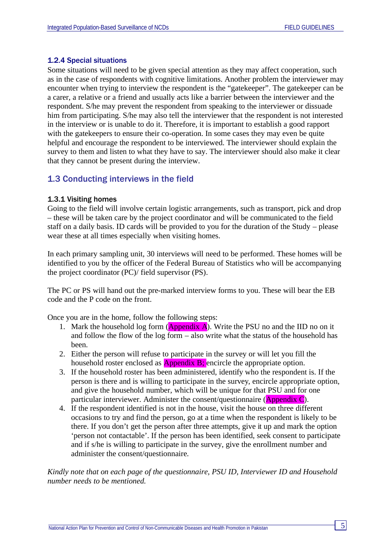### 1.2.4 Special situations

Some situations will need to be given special attention as they may affect cooperation, such as in the case of respondents with cognitive limitations. Another problem the interviewer may encounter when trying to interview the respondent is the "gatekeeper". The gatekeeper can be a carer, a relative or a friend and usually acts like a barrier between the interviewer and the respondent. S/he may prevent the respondent from speaking to the interviewer or dissuade him from participating. S/he may also tell the interviewer that the respondent is not interested in the interview or is unable to do it. Therefore, it is important to establish a good rapport with the gate keepers to ensure their co-operation. In some cases they may even be quite helpful and encourage the respondent to be interviewed. The interviewer should explain the survey to them and listen to what they have to say. The interviewer should also make it clear that they cannot be present during the interview.

# 1.3 Conducting interviews in the field

### 1.3.1 Visiting homes

Going to the field will involve certain logistic arrangements, such as transport, pick and drop – these will be taken care by the project coordinator and will be communicated to the field staff on a daily basis. ID cards will be provided to you for the duration of the Study – please wear these at all times especially when visiting homes.

In each primary sampling unit, 30 interviews will need to be performed. These homes will be identified to you by the officer of the Federal Bureau of Statistics who will be accompanying the project coordinator (PC)/ field supervisor (PS).

The PC or PS will hand out the pre-marked interview forms to you. These will bear the EB code and the P code on the front.

Once you are in the home, follow the following steps:

- 1. Mark the household log form  $(Appendix A)$ . Write the PSU no and the IID no on it and follow the flow of the log form  $-$  also write what the status of the household has been.
- 2. Either the person will refuse to participate in the survey or will let you fill the household roster enclosed as  $\Delta$ ppendix B; encircle the appropriate option.
- 3. If the household roster has been administered, identify who the respondent is. If the person is there and is willing to participate in the survey, encircle appropriate option, and give the household number, which will be unique for that PSU and for one particular interviewer. Administer the consent/questionnaire (Appendix C).
- 4. If the respondent identified is not in the house, visit the house on three different occasions to try and find the person, go at a time when the respondent is likely to be there. If you don't get the person after three attempts, give it up and mark the option 'person not contactable'. If the person has been identified, seek consent to participate and if s/he is willing to participate in the survey, give the enrollment number and administer the consent/questionnaire.

*Kindly note that on each page of the questionnaire, PSU ID, Interviewer ID and Household number needs to be mentioned.*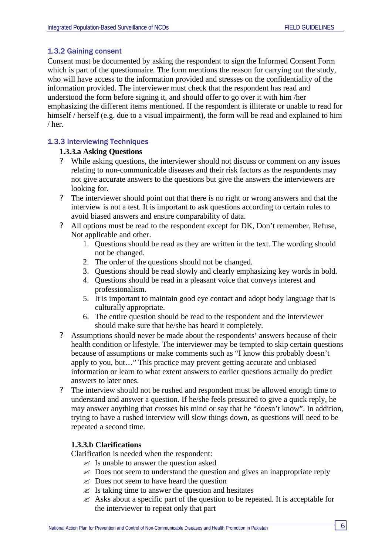# 1.3.2 Gaining consent

Consent must be documented by asking the respondent to sign the Informed Consent Form which is part of the questionnaire. The form mentions the reason for carrying out the study, who will have access to the information provided and stresses on the confidentiality of the information provided. The interviewer must check that the respondent has read and understood the form before signing it, and should offer to go over it with him /her emphasizing the different items mentioned. If the respondent is illiterate or unable to read for himself / herself (e.g. due to a visual impairment), the form will be read and explained to him / her.

# 1.3.3 Interviewing Techniques

### **1.3.3.a Asking Questions**

- While asking questions, the interviewer should not discuss or comment on any issues relating to non-communicable diseases and their risk factors as the respondents may not give accurate answers to the questions but give the answers the interviewers are looking for.
- ? The interviewer should point out that there is no right or wrong answers and that the interview is not a test. It is important to ask questions according to certain rules to avoid biased answers and ensure comparability of data.
- ? All options must be read to the respondent except for DK, Don't remember, Refuse, Not applicable and other.
	- 1. Questions should be read as they are written in the text. The wording should not be changed.
	- 2. The order of the questions should not be changed.
	- 3. Questions should be read slowly and clearly emphasizing key words in bold.
	- 4. Questions should be read in a pleasant voice that conveys interest and professionalism.
	- 5. It is important to maintain good eye contact and adopt body language that is culturally appropriate.
	- 6. The entire question should be read to the respondent and the interviewer should make sure that he/she has heard it completely.
- ? Assumptions should never be made about the respondents' answers because of their health condition or lifestyle. The interviewer may be tempted to skip certain questions because of assumptions or make comments such as "I know this probably doesn't apply to you, but…" This practice may prevent getting accurate and unbiased information or learn to what extent answers to earlier questions actually do predict answers to later ones.
- ? The interview should not be rushed and respondent must be allowed enough time to understand and answer a question. If he/she feels pressured to give a quick reply, he may answer anything that crosses his mind or say that he "doesn't know". In addition, trying to have a rushed interview will slow things down, as questions will need to be repeated a second time.

# **1.3.3.b Clarifications**

Clarification is needed when the respondent:

- $\mathscr{L}$  Is unable to answer the question asked
- $\mathscr{\mathscr{E}}$  Does not seem to understand the question and gives an inappropriate reply
- $\mathscr{\mathscr{E}}$  Does not seem to have heard the question
- $\mathscr{\mathscr{E}}$  Is taking time to answer the question and hesitates
- $\mathscr{\mathscr{E}}$  Asks about a specific part of the question to be repeated. It is acceptable for the interviewer to repeat only that part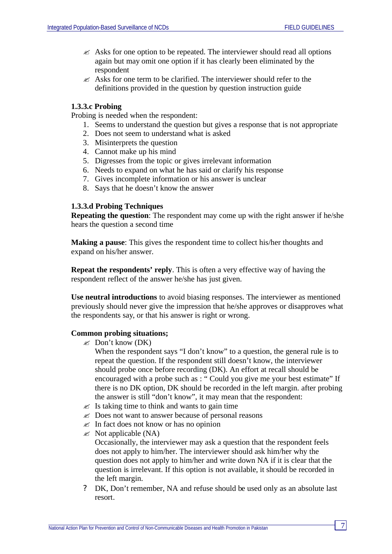- $\mathscr{L}$  Asks for one option to be repeated. The interviewer should read all options again but may omit one option if it has clearly been eliminated by the respondent
- $\approx$  Asks for one term to be clarified. The interviewer should refer to the definitions provided in the question by question instruction guide

### **1.3.3.c Probing**

Probing is needed when the respondent:

- 1. Seems to understand the question but gives a response that is not appropriate
- 2. Does not seem to understand what is asked
- 3. Misinterprets the question
- 4. Cannot make up his mind
- 5. Digresses from the topic or gives irrelevant information
- 6. Needs to expand on what he has said or clarify his response
- 7. Gives incomplete information or his answer is unclear
- 8. Says that he doesn't know the answer

### **1.3.3.d Probing Techniques**

**Repeating the question**: The respondent may come up with the right answer if he/she hears the question a second time

**Making a pause**: This gives the respondent time to collect his/her thoughts and expand on his/her answer.

**Repeat the respondents' reply**. This is often a very effective way of having the respondent reflect of the answer he/she has just given.

**Use neutral introductions** to avoid biasing responses. The interviewer as mentioned previously should never give the impression that he/she approves or disapproves what the respondents say, or that his answer is right or wrong.

#### **Common probing situations;**

 $\mathscr{\mathscr{E}}$  Don't know (DK)

When the respondent says "I don't know" to a question, the general rule is to repeat the question. If the respondent still doesn't know, the interviewer should probe once before recording (DK). An effort at recall should be encouraged with a probe such as : "Could you give me your best estimate" If there is no DK option, DK should be recorded in the left margin. after probing the answer is still "don't know", it may mean that the respondent:

- $\mathscr{\mathscr{E}}$  Is taking time to think and wants to gain time
- $\&$  Does not want to answer because of personal reasons
- $\mathscr{\mathscr{E}}$  In fact does not know or has no opinion
- $\ll$  Not applicable (NA)

Occasionally, the interviewer may ask a question that the respondent feels does not apply to him/her. The interviewer should ask him/her why the question does not apply to him/her and write down NA if it is clear that the question is irrelevant. If this option is not available, it should be recorded in the left margin.

? DK, Don't remember, NA and refuse should be used only as an absolute last resort.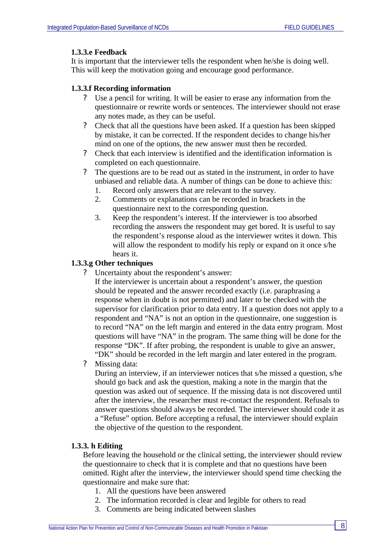### **1.3.3.e Feedback**

It is important that the interviewer tells the respondent when he/she is doing well. This will keep the motivation going and encourage good performance.

### **1.3.3.f Recording information**

- ? Use a pencil for writing. It will be easier to erase any information from the questionnaire or rewrite words or sentences. The interviewer should not erase any notes made, as they can be useful.
- ? Check that all the questions have been asked. If a question has been skipped by mistake, it can be corrected. If the respondent decides to change his/her mind on one of the options, the new answer must then be recorded.
- ? Check that each interview is identified and the identification information is completed on each questionnaire.
- ? The questions are to be read out as stated in the instrument, in order to have unbiased and reliable data. A number of things can be done to achieve this:
	- 1. Record only answers that are relevant to the survey.
	- 2. Comments or explanations can be recorded in brackets in the questionnaire next to the corresponding question.
	- 3. Keep the respondent's interest. If the interviewer is too absorbed recording the answers the respondent may get bored. It is useful to say the respondent's response aloud as the interviewer writes it down. This will allow the respondent to modify his reply or expand on it once s/he hears it.

# **1.3.3.g Other techniques**

? Uncertainty about the respondent's answer:

If the interviewer is uncertain about a respondent's answer, the question should be repeated and the answer recorded exactly (i.e. paraphrasing a response when in doubt is not permitted) and later to be checked with the supervisor for clarification prior to data entry. If a question does not apply to a respondent and "NA" is not an option in the questionnaire, one suggestion is to record "NA" on the left margin and entered in the data entry program. Most questions will have "NA" in the program. The same thing will be done for the response "DK". If after probing, the respondent is unable to give an answer, "DK" should be recorded in the left margin and later entered in the program.

? Missing data:

During an interview, if an interviewer notices that s/he missed a question, s/he should go back and ask the question, making a note in the margin that the question was asked out of sequence. If the missing data is not discovered until after the interview, the researcher must re-contact the respondent. Refusals to answer questions should always be recorded. The interviewer should code it as a "Refuse" option. Before accepting a refusal, the interviewer should explain the objective of the question to the respondent.

### **1.3.3. h Editing**

Before leaving the household or the clinical setting, the interviewer should review the questionnaire to check that it is complete and that no questions have been omitted. Right after the interview, the interviewer should spend time checking the questionnaire and make sure that:

- 1. All the questions have been answered
- 2. The information recorded is clear and legible for others to read
- 3. Comments are being indicated between slashes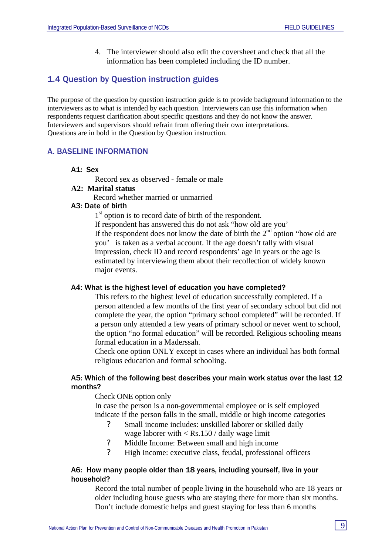4. The interviewer should also edit the coversheet and check that all the information has been completed including the ID number.

# 1.4 Question by Question instruction guides

The purpose of the question by question instruction guide is to provide background information to the interviewers as to what is intended by each question. Interviewers can use this information when respondents request clarification about specific questions and they do not know the answer. Interviewers and supervisors should refrain from offering their own interpretations. Questions are in bold in the Question by Question instruction.

# A. BASELINE INFORMATION

### A1: Sex

Record sex as observed - female or male

# **A2: Marital status**

Record whether married or unmarried

# A3: Date of birth

1<sup>st</sup> option is to record date of birth of the respondent.

If respondent has answered this do not ask "how old are you'

If the respondent does not know the date of birth the  $2<sup>nd</sup>$  option "how old are you' is taken as a verbal account. If the age doesn't tally with visual impression, check ID and record respondents' age in years or the age is estimated by interviewing them about their recollection of widely known major events.

### A4: What is the highest level of education you have completed?

This refers to the highest level of education successfully completed. If a person attended a few months of the first year of secondary school but did not complete the year, the option "primary school completed" will be recorded. If a person only attended a few years of primary school or never went to school, the option "no formal education" will be recorded. Religious schooling means formal education in a Maderssah.

Check one option ONLY except in cases where an individual has both formal religious education and formal schooling.

# A5: Which of the following best describes your main work status over the last 12 months?

Check ONE option only

In case the person is a non-governmental employee or is self employed indicate if the person falls in the small, middle or high income categories

- ? Small income includes: unskilled laborer or skilled daily wage laborer with  $<$  Rs.150 / daily wage limit
- ? Middle Income: Between small and high income
- ? High Income: executive class, feudal, professional officers

### A6: How many people older than 18 years, including yourself, live in your household?

Record the total number of people living in the household who are 18 years or older including house guests who are staying there for more than six months. Don't include domestic helps and guest staying for less than 6 months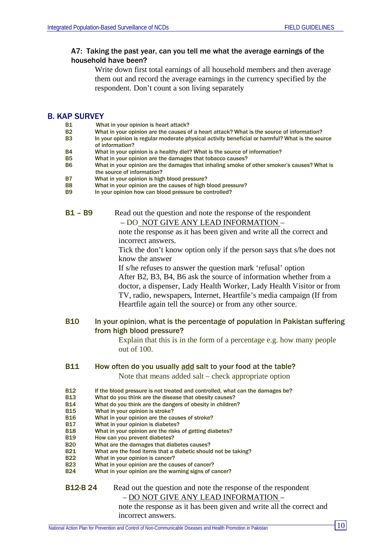# A7: Taking the past year, can you tell me what the average earnings of the household have been?

Write down first total earnings of all household members and then average them out and record the average earnings in the currency specified by the respondent. Don't count a son living separately

### B. KAP SURVEY

- B1 What in your opinion is heart attack?<br>B2 What in your opinion are the causes of
- What in your opinion are the causes of a heart attack? What is the source of information?
- B3 In your opinion is regular moderate physical activity beneficial or harmful? What is the source of information?
- B4 What in your opinion is a healthy diet? What is the source of information?
- B5 What in your opinion are the damages that tobacco causes?
- B6 What in your opinion are the damages that inhaling smoke of other smoker's causes? What is the source of information?
- B7 What in your opinion is high blood pressure?
- B8 What in your opinion are the causes of high blood pressure?
- B9 In your opinion how can blood pressure be controlled?

B1 – B9 Read out the question and note the response of the respondent – DO NOT GIVE ANY LEAD INFORMATION –

> note the response as it has been given and write all the correct and incorrect answers.

Tick the don't know option only if the person says that s/he does not know the answer

If s/he refuses to answer the question mark 'refusal' option After B2, B3, B4, B6 ask the source of information whether from a doctor, a dispenser, Lady Health Worker, Lady Health Visitor or from TV, radio, newspapers, Internet, Heartfile's media campaign (If from Heartfile again tell the source) or from any other source.

### B10 In your opinion, what is the percentage of population in Pakistan suffering from high blood pressure?

Explain that this is in the form of a percentage e.g. how many people out of 100.

#### B11 How often do you usually add salt to your food at the table?

Note that means added salt – check appropriate option

- B12 If the blood pressure is not treated and controlled, what can the damages be?
- B13 What do you think are the disease that obesity causes?
- B14 What do you think are the dangers of obesity in children?
- B15 What in your opinion is stroke?
- B16 What in your opinion are the causes of stroke?
- B17 What in your opinion is diabetes?
- B18 What in your opinion are the risks of getting diabetes?
- B19 How can you prevent diabetes?
- B20 What are the damages that diabetes causes?
- B21 What are the food items that a diabetic should not be taking?
- B22 What in your opinion is cancer?
- B23 What in your opinion are the causes of cancer?<br>B24 What in your opinion are the warning signs of ca
- What in your opinion are the warning signs of cancer?

### **B12-B 24** Read out the question and note the response of the respondent – DO NOT GIVE ANY LEAD INFORMATION –

note the response as it has been given and write all the correct and incorrect answers.

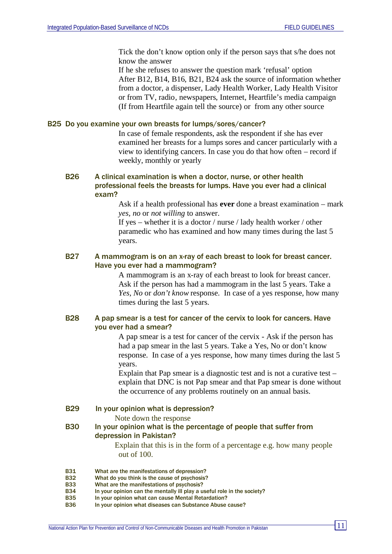Tick the don't know option only if the person says that s/he does not know the answer

If he she refuses to answer the question mark 'refusal' option After B12, B14, B16, B21, B24 ask the source of information whether from a doctor, a dispenser, Lady Health Worker, Lady Health Visitor or from TV, radio, newspapers, Internet, Heartfile's media campaign (If from Heartfile again tell the source) or from any other source

#### B25 Do you examine your own breasts for lumps/sores/cancer?

In case of female respondents, ask the respondent if she has ever examined her breasts for a lumps sores and cancer particularly with a view to identifying cancers. In case you do that how often – record if weekly, monthly or yearly

# B26 A clinical examination is when a doctor, nurse, or other health professional feels the breasts for lumps. Have you ever had a clinical exam?

Ask if a health professional has **ever** done a breast examination – mark *yes, no* or *not willing* to answer.

If yes – whether it is a doctor / nurse / lady health worker / other paramedic who has examined and how many times during the last 5 years.

### B27 A mammogram is on an x-ray of each breast to look for breast cancer. Have you ever had a mammogram?

A mammogram is an x-ray of each breast to look for breast cancer. Ask if the person has had a mammogram in the last 5 years. Take a *Yes, No* or *don't know* response. In case of a yes response, how many times during the last 5 years.

# B28 A pap smear is a test for cancer of the cervix to look for cancers. Have you ever had a smear?

A pap smear is a test for cancer of the cervix - Ask if the person has had a pap smear in the last 5 years. Take a Yes, No or don't know response. In case of a yes response, how many times during the last 5 years.

Explain that Pap smear is a diagnostic test and is not a curative test – explain that DNC is not Pap smear and that Pap smear is done without the occurrence of any problems routinely on an annual basis.

B29 In your opinion what is depression?

Note down the response

### B30 In your opinion what is the percentage of people that suffer from depression in Pakistan?

 Explain that this is in the form of a percentage e.g. how many people out of 100.

- B31 What are the manifestations of depression?
- B32 What do you think is the cause of psychosis?
- B33 What are the manifestations of psychosis?
- B34 In your opinion can the mentally ill play a useful role in the society?
- B35 In your opinion what can cause Mental Retardation?
- B36 In your opinion what diseases can Substance Abuse cause?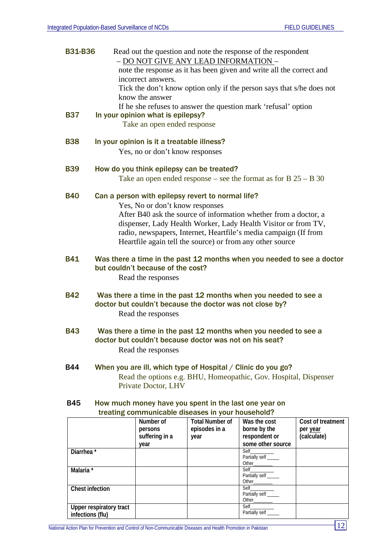| <b>B31-B36</b>         |                                                                                                             | Read out the question and note the response of the respondent<br>- DO NOT GIVE ANY LEAD INFORMATION -                              |                                                       |                                                                       |                          |  |  |
|------------------------|-------------------------------------------------------------------------------------------------------------|------------------------------------------------------------------------------------------------------------------------------------|-------------------------------------------------------|-----------------------------------------------------------------------|--------------------------|--|--|
|                        |                                                                                                             |                                                                                                                                    |                                                       | note the response as it has been given and write all the correct and  |                          |  |  |
|                        |                                                                                                             | incorrect answers.                                                                                                                 |                                                       |                                                                       |                          |  |  |
|                        |                                                                                                             |                                                                                                                                    |                                                       | Tick the don't know option only if the person says that s/he does not |                          |  |  |
|                        |                                                                                                             | know the answer                                                                                                                    |                                                       |                                                                       |                          |  |  |
|                        |                                                                                                             |                                                                                                                                    |                                                       | If he she refuses to answer the question mark 'refusal' option        |                          |  |  |
| <b>B37</b>             |                                                                                                             | In your opinion what is epilepsy?                                                                                                  |                                                       |                                                                       |                          |  |  |
|                        |                                                                                                             | Take an open ended response                                                                                                        |                                                       |                                                                       |                          |  |  |
| <b>B38</b>             |                                                                                                             | In your opinion is it a treatable illness?                                                                                         |                                                       |                                                                       |                          |  |  |
|                        |                                                                                                             | Yes, no or don't know responses                                                                                                    |                                                       |                                                                       |                          |  |  |
| <b>B39</b>             |                                                                                                             | How do you think epilepsy can be treated?                                                                                          |                                                       |                                                                       |                          |  |  |
|                        |                                                                                                             |                                                                                                                                    |                                                       | Take an open ended response – see the format as for $B$ 25 – B 30     |                          |  |  |
| <b>B40</b>             | Can a person with epilepsy revert to normal life?                                                           |                                                                                                                                    |                                                       |                                                                       |                          |  |  |
|                        | Yes, No or don't know responses                                                                             |                                                                                                                                    |                                                       |                                                                       |                          |  |  |
|                        |                                                                                                             | After B40 ask the source of information whether from a doctor, a                                                                   |                                                       |                                                                       |                          |  |  |
|                        |                                                                                                             | dispenser, Lady Health Worker, Lady Health Visitor or from TV,<br>radio, newspapers, Internet, Heartfile's media campaign (If from |                                                       |                                                                       |                          |  |  |
|                        | Heartfile again tell the source) or from any other source                                                   |                                                                                                                                    |                                                       |                                                                       |                          |  |  |
| <b>B41</b>             | Was there a time in the past 12 months when you needed to see a doctor<br>but couldn't because of the cost? |                                                                                                                                    |                                                       |                                                                       |                          |  |  |
|                        | Read the responses                                                                                          |                                                                                                                                    |                                                       |                                                                       |                          |  |  |
| <b>B42</b>             | Was there a time in the past 12 months when you needed to see a                                             |                                                                                                                                    |                                                       |                                                                       |                          |  |  |
|                        | doctor but couldn't because the doctor was not close by?                                                    |                                                                                                                                    |                                                       |                                                                       |                          |  |  |
|                        |                                                                                                             | Read the responses                                                                                                                 |                                                       |                                                                       |                          |  |  |
| <b>B43</b>             | Was there a time in the past 12 months when you needed to see a                                             |                                                                                                                                    |                                                       |                                                                       |                          |  |  |
|                        | doctor but couldn't because doctor was not on his seat?<br>Read the responses                               |                                                                                                                                    |                                                       |                                                                       |                          |  |  |
|                        |                                                                                                             |                                                                                                                                    |                                                       |                                                                       |                          |  |  |
| <b>B44</b>             |                                                                                                             |                                                                                                                                    |                                                       | When you are ill, which type of Hospital / Clinic do you go?          |                          |  |  |
|                        | Read the options e.g. BHU, Homeopathic, Gov. Hospital, Dispenser                                            |                                                                                                                                    |                                                       |                                                                       |                          |  |  |
|                        |                                                                                                             | Private Doctor, LHV                                                                                                                |                                                       |                                                                       |                          |  |  |
| <b>B45</b>             |                                                                                                             |                                                                                                                                    | How much money have you spent in the last one year on |                                                                       |                          |  |  |
|                        |                                                                                                             |                                                                                                                                    | treating communicable diseases in your household?     |                                                                       |                          |  |  |
|                        |                                                                                                             | Number of                                                                                                                          | <b>Total Number of</b>                                | Was the cost                                                          | <b>Cost of treatment</b> |  |  |
|                        |                                                                                                             | persons<br>suffering in a                                                                                                          | episodes in a<br>year                                 | borne by the<br>respondent or                                         | per year<br>(calculate)  |  |  |
|                        |                                                                                                             | year                                                                                                                               |                                                       | some other source                                                     |                          |  |  |
| Diarrhea <sup>*</sup>  |                                                                                                             |                                                                                                                                    |                                                       | Self<br>Partially self _____                                          |                          |  |  |
| Malaria *              |                                                                                                             |                                                                                                                                    |                                                       | Other_                                                                |                          |  |  |
|                        |                                                                                                             |                                                                                                                                    |                                                       | Self<br>Partially self _____                                          |                          |  |  |
| <b>Chest infection</b> |                                                                                                             |                                                                                                                                    |                                                       | Other_<br>Self                                                        |                          |  |  |
|                        |                                                                                                             |                                                                                                                                    |                                                       | Partially self                                                        |                          |  |  |

**Upper respiratory tract infections (flu)**

Other\_\_\_\_\_\_\_\_

Self\_\_\_\_\_\_\_\_\_\_ Partially self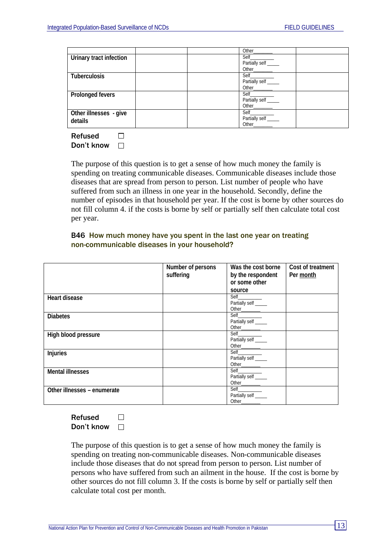|                         | Other                |  |
|-------------------------|----------------------|--|
| Urinary tract infection | Self                 |  |
|                         | Partially self _____ |  |
|                         | Other                |  |
| <b>Tuberculosis</b>     | Self                 |  |
|                         | Partially self       |  |
|                         | Other                |  |
| <b>Prolonged fevers</b> | Self                 |  |
|                         | Partially self _____ |  |
|                         | Other                |  |
| Other illnesses - give  | Self                 |  |
| details                 | Partially self _____ |  |
|                         | Other                |  |

Refused  $\Box$ Don't know  $\Box$ 

The purpose of this question is to get a sense of how much money the family is spending on treating communicable diseases. Communicable diseases include those diseases that are spread from person to person. List number of people who have suffered from such an illness in one year in the household. Secondly, define the number of episodes in that household per year. If the cost is borne by other sources do not fill column 4. if the costs is borne by self or partially self then calculate total cost per year.

# B46 How much money have you spent in the last one year on treating non-communicable diseases in your household?

|                             | Number of persons | Was the cost borne   | Cost of treatment |
|-----------------------------|-------------------|----------------------|-------------------|
|                             | suffering         | by the respondent    | Per month         |
|                             |                   | or some other        |                   |
|                             |                   | source               |                   |
| <b>Heart disease</b>        |                   |                      |                   |
|                             |                   | Partially self ____  |                   |
|                             |                   |                      |                   |
| <b>Diabetes</b>             |                   |                      |                   |
|                             |                   | Partially self _____ |                   |
|                             |                   |                      |                   |
| High blood pressure         |                   |                      |                   |
|                             |                   | Partially self ____  |                   |
|                             |                   | Other___________     |                   |
| <b>Injuries</b>             |                   |                      |                   |
|                             |                   | Partially self _____ |                   |
|                             |                   |                      |                   |
| <b>Mental illnesses</b>     |                   |                      |                   |
|                             |                   | Partially self _____ |                   |
|                             |                   |                      |                   |
| Other illnesses - enumerate |                   |                      |                   |
|                             |                   | Partially self _____ |                   |
|                             |                   |                      |                   |

Refused  $\Box$ Don't know  $\Box$ 

The purpose of this question is to get a sense of how much money the family is spending on treating non-communicable diseases. Non-communicable diseases include those diseases that do not spread from person to person. List number of persons who have suffered from such an ailment in the house. If the cost is borne by other sources do not fill column 3. If the costs is borne by self or partially self then calculate total cost per month.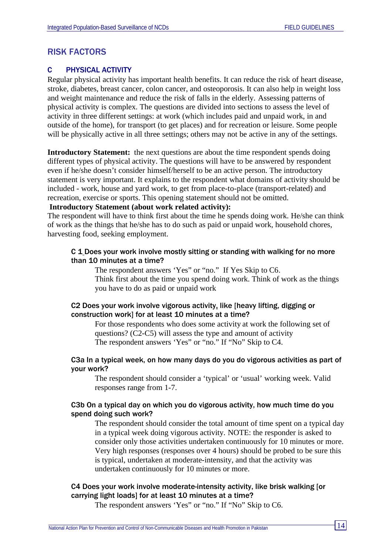# RISK FACTORS

# C PHYSICAL ACTIVITY

Regular physical activity has important health benefits. It can reduce the risk of heart disease, stroke, diabetes, breast cancer, colon cancer, and osteoporosis. It can also help in weight loss and weight maintenance and reduce the risk of falls in the elderly. Assessing patterns of physical activity is complex. The questions are divided into sections to assess the level of activity in three different settings: at work (which includes paid and unpaid work, in and outside of the home), for transport (to get places) and for recreation or leisure. Some people will be physically active in all three settings; others may not be active in any of the settings.

**Introductory Statement:** the next questions are about the time respondent spends doing different types of physical activity. The questions will have to be answered by respondent even if he/she doesn't consider himself/herself to be an active person. The introductory statement is very important. It explains to the respondent what domains of activity should be included - work, house and yard work, to get from place-to-place (transport-related) and recreation, exercise or sports. This opening statement should not be omitted.

# **Introductory Statement (about work related activity):**

The respondent will have to think first about the time he spends doing work. He/she can think of work as the things that he/she has to do such as paid or unpaid work, household chores, harvesting food, seeking employment.

### C 1 Does your work involve mostly sitting or standing with walking for no more than 10 minutes at a time?

The respondent answers 'Yes" or "no." If Yes Skip to C6. Think first about the time you spend doing work. Think of work as the things you have to do as paid or unpaid work

### C2 Does your work involve vigorous activity, like [heavy lifting, digging or construction work] for at least 10 minutes at a time?

For those respondents who does some activity at work the following set of questions? (C2-C5) will assess the type and amount of activity The respondent answers 'Yes" or "no." If "No" Skip to C4.

### C3a In a typical week, on how many days do you do vigorous activities as part of your work?

The respondent should consider a 'typical' or 'usual' working week. Valid responses range from 1-7.

### C3b On a typical day on which you do vigorous activity, how much time do you spend doing such work?

The respondent should consider the total amount of time spent on a typical day in a typical week doing vigorous activity. NOTE: the responder is asked to consider only those activities undertaken continuously for 10 minutes or more. Very high responses (responses over 4 hours) should be probed to be sure this is typical, undertaken at moderate-intensity, and that the activity was undertaken continuously for 10 minutes or more.

# C4 Does your work involve moderate-intensity activity, like brisk walking [or carrying light loads] for at least 10 minutes at a time?

The respondent answers 'Yes" or "no." If "No" Skip to C6.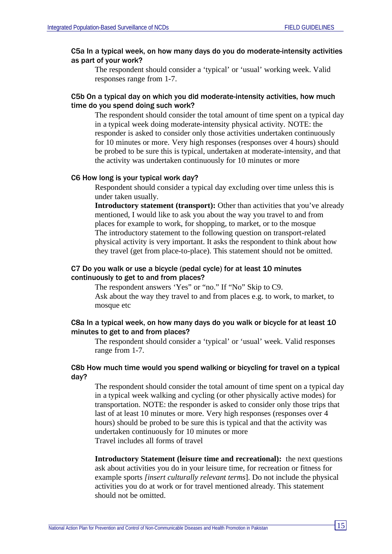### C5a In a typical week, on how many days do you do moderate-intensity activities as part of your work?

The respondent should consider a 'typical' or 'usual' working week. Valid responses range from 1-7.

### C5b On a typical day on which you did moderate-intensity activities, how much time do you spend doing such work?

The respondent should consider the total amount of time spent on a typical day in a typical week doing moderate-intensity physical activity. NOTE: the responder is asked to consider only those activities undertaken continuously for 10 minutes or more. Very high responses (responses over 4 hours) should be probed to be sure this is typical, undertaken at moderate-intensity, and that the activity was undertaken continuously for 10 minutes or more

### C6 How long is your typical work day?

Respondent should consider a typical day excluding over time unless this is under taken usually.

**Introductory statement (transport):** Other than activities that you've already mentioned, I would like to ask you about the way you travel to and from places for example to work, for shopping, to market, or to the mosque The introductory statement to the following question on transport-related physical activity is very important. It asks the respondent to think about how they travel (get from place-to-place). This statement should not be omitted.

#### C7 Do you walk or use a bicycle (pedal cycle) for at least 10 minutes continuously to get to and from places?

The respondent answers 'Yes" or "no." If "No" Skip to C9. Ask about the way they travel to and from places e.g. to work, to market, to mosque etc

### C8a In a typical week, on how many days do you walk or bicycle for at least 10 minutes to get to and from places?

The respondent should consider a 'typical' or 'usual' week. Valid responses range from 1-7.

### C8b How much time would you spend walking or bicycling for travel on a typical day?

The respondent should consider the total amount of time spent on a typical day in a typical week walking and cycling (or other physically active modes) for transportation. NOTE: the responder is asked to consider only those trips that last of at least 10 minutes or more. Very high responses (responses over 4 hours) should be probed to be sure this is typical and that the activity was undertaken continuously for 10 minutes or more Travel includes all forms of travel

**Introductory Statement (leisure time and recreational):** the next questions ask about activities you do in your leisure time, for recreation or fitness for example sports *[insert culturally relevant terms*]*.* Do not include the physical activities you do at work or for travel mentioned already. This statement should not be omitted.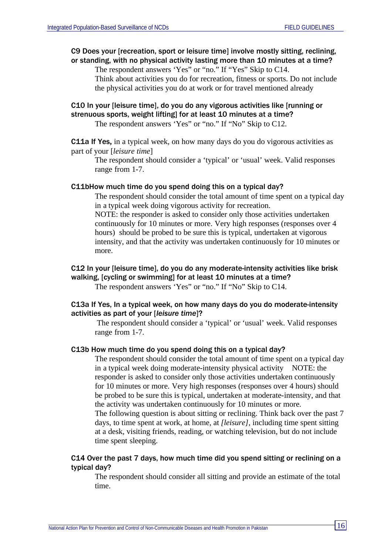# C9 Does your [recreation, sport or leisure time] involve mostly sitting, reclining, or standing, with no physical activity lasting more than 10 minutes at a time?

The respondent answers 'Yes" or "no." If "Yes" Skip to C14.

Think about activities you do for recreation, fitness or sports. Do not include the physical activities you do at work or for travel mentioned already

# C10 In your [leisure time], do you do any vigorous activities like [running or strenuous sports, weight lifting] for at least 10 minutes at a time?

The respondent answers 'Yes" or "no." If "No" Skip to C12.

C11a If Yes**,** in a typical week, on how many days do you do vigorous activities as part of your [*leisure time*]

The respondent should consider a 'typical' or 'usual' week. Valid responses range from 1-7.

# C11bHow much time do you spend doing this on a typical day?

The respondent should consider the total amount of time spent on a typical day in a typical week doing vigorous activity for recreation.

NOTE: the responder is asked to consider only those activities undertaken continuously for 10 minutes or more. Very high responses (responses over 4 hours) should be probed to be sure this is typical, undertaken at vigorous intensity, and that the activity was undertaken continuously for 10 minutes or more.

# C12 In your [leisure time], do you do any moderate-intensity activities like brisk walking, [cycling or swimming] for at least 10 minutes at a time?

The respondent answers 'Yes" or "no." If "No" Skip to C14.

# C13a If Yes, In a typical week, on how many days do you do moderate-intensity activities as part of your [*leisure time*]?

The respondent should consider a 'typical' or 'usual' week. Valid responses range from 1-7.

### C13b How much time do you spend doing this on a typical day?

The respondent should consider the total amount of time spent on a typical day in a typical week doing moderate-intensity physical activity NOTE: the responder is asked to consider only those activities undertaken continuously for 10 minutes or more. Very high responses (responses over 4 hours) should be probed to be sure this is typical, undertaken at moderate-intensity, and that the activity was undertaken continuously for 10 minutes or more.

The following question is about sitting or reclining. Think back over the past 7 days, to time spent at work, at home, at *[leisure]*, including time spent sitting at a desk, visiting friends, reading, or watching television, but do not include time spent sleeping.

# C14 Over the past 7 days, how much time did you spend sitting or reclining on a typical day?

The respondent should consider all sitting and provide an estimate of the total time.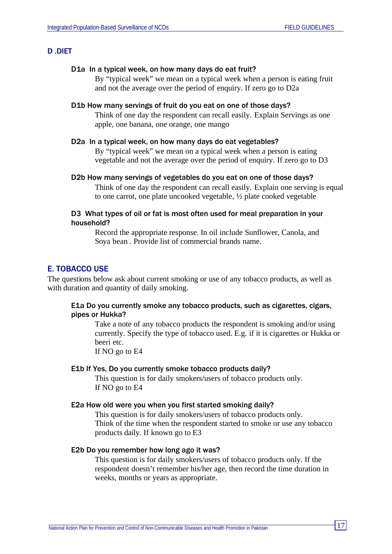#### D .DIET

#### D1a In a typical week, on how many days do eat fruit?

By "typical week" we mean on a typical week when a person is eating fruit and not the average over the period of enquiry. If zero go to D2a

### D1b How many servings of fruit do you eat on one of those days?

Think of one day the respondent can recall easily. Explain Servings as one apple, one banana, one orange, one mango

#### D2a In a typical week, on how many days do eat vegetables?

By "typical week" we mean on a typical week when a person is eating vegetable and not the average over the period of enquiry. If zero go to D3

D2b How many servings of vegetables do you eat on one of those days?

Think of one day the respondent can recall easily. Explain one serving is equal to one carrot, one plate uncooked vegetable, ½ plate cooked vegetable

#### D3 What types of oil or fat is most often used for meal preparation in your household?

Record the appropriate response. In oil include Sunflower, Canola, and Soya bean . Provide list of commercial brands name.

### E. TOBACCO USE

The questions below ask about current smoking or use of any tobacco products, as well as with duration and quantity of daily smoking.

### E1a Do you currently smoke any tobacco products, such as cigarettes, cigars, pipes or Hukka?

Take a note of any tobacco products the respondent is smoking and/or using currently. Specify the type of tobacco used. E.g. if it is cigarettes or Hukka or beeri etc.

If NO go to E4

#### E1b If Yes, Do you currently smoke tobacco products daily?

This question is for daily smokers/users of tobacco products only. If NO go to E4

#### E2a How old were you when you first started smoking daily?

This question is for daily smokers/users of tobacco products only. Think of the time when the respondent started to smoke or use any tobacco products daily. If known go to E3

### E2b Do you remember how long ago it was?

This question is for daily smokers/users of tobacco products only. If the respondent doesn't remember his/her age, then record the time duration in weeks, months or years as appropriate.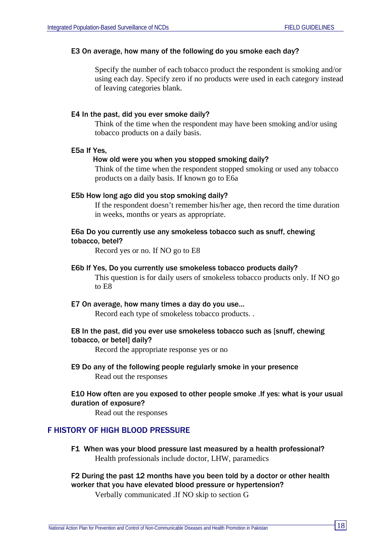#### E3 On average, how many of the following do you smoke each day?

Specify the number of each tobacco product the respondent is smoking and/or using each day. Specify zero if no products were used in each category instead of leaving categories blank.

#### E4 In the past, did you ever smoke daily?

Think of the time when the respondent may have been smoking and/or using tobacco products on a daily basis.

#### E5a If Yes,

#### How old were you when you stopped smoking daily?

Think of the time when the respondent stopped smoking or used any tobacco products on a daily basis. If known go to E6a

#### E5b How long ago did you stop smoking daily?

If the respondent doesn't remember his/her age, then record the time duration in weeks, months or years as appropriate.

### E6a Do you currently use any smokeless tobacco such as snuff, chewing tobacco, betel?

Record yes or no. If NO go to E8

#### E6b If Yes, Do you currently use smokeless tobacco products daily?

This question is for daily users of smokeless tobacco products only. If NO go to E8

#### E7 On average, how many times a day do you use…

Record each type of smokeless tobacco products. .

### E8 In the past, did you ever use smokeless tobacco such as [snuff, chewing tobacco, or betel] daily?

Record the appropriate response yes or no

E9 Do any of the following people regularly smoke in your presence Read out the responses

### E10 How often are you exposed to other people smoke .If yes: what is your usual duration of exposure?

Read out the responses

# F HISTORY OF HIGH BLOOD PRESSURE

F1 When was your blood pressure last measured by a health professional? Health professionals include doctor, LHW, paramedics

# F2 During the past 12 months have you been told by a doctor or other health worker that you have elevated blood pressure or hypertension?

Verbally communicated .If NO skip to section G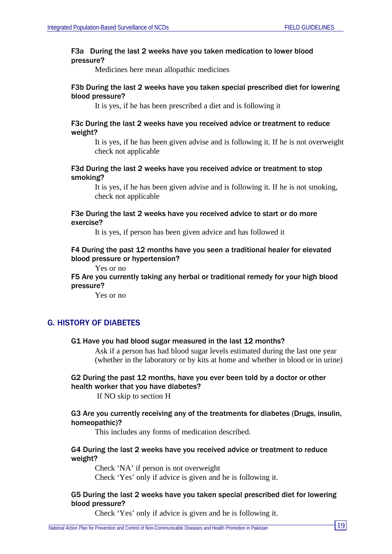### F3a During the last 2 weeks have you taken medication to lower blood pressure?

Medicines here mean allopathic medicines

### F3b During the last 2 weeks have you taken special prescribed diet for lowering blood pressure?

It is yes, if he has been prescribed a diet and is following it

### F3c During the last 2 weeks have you received advice or treatment to reduce weight?

It is yes, if he has been given advise and is following it. If he is not overweight check not applicable

### F3d During the last 2 weeks have you received advice or treatment to stop smoking?

It is yes, if he has been given advise and is following it. If he is not smoking, check not applicable

### F3e During the last 2 weeks have you received advice to start or do more exercise?

It is yes, if person has been given advice and has followed it

### F4 During the past 12 months have you seen a traditional healer for elevated blood pressure or hypertension?

Yes or no

F5 Are you currently taking any herbal or traditional remedy for your high blood pressure?

Yes or no

# G. HISTORY OF DIABETES

### G1 Have you had blood sugar measured in the last 12 months?

Ask if a person has had blood sugar levels estimated during the last one year (whether in the laboratory or by kits at home and whether in blood or in urine)

# G2 During the past 12 months, have you ever been told by a doctor or other health worker that you have diabetes?

If NO skip to section H

### G3 Are you currently receiving any of the treatments for diabetes (Drugs, insulin, homeopathic)?

This includes any forms of medication described.

### G4 During the last 2 weeks have you received advice or treatment to reduce weight?

Check 'NA' if person is not overweight Check 'Yes' only if advice is given and he is following it.

### G5 During the last 2 weeks have you taken special prescribed diet for lowering blood pressure?

Check 'Yes' only if advice is given and he is following it.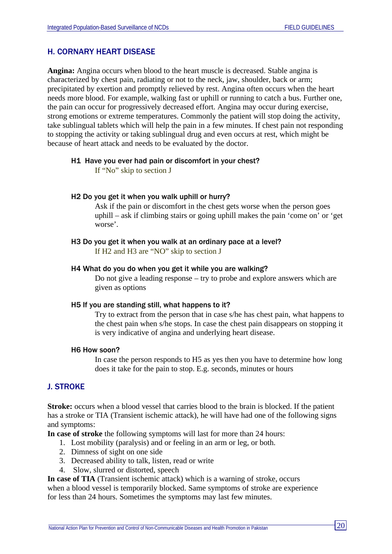# H. CORNARY HEART DISEASE

**Angina:** Angina occurs when blood to the heart muscle is decreased. Stable angina is characterized by chest pain, radiating or not to the neck, jaw, shoulder, back or arm; precipitated by exertion and promptly relieved by rest. Angina often occurs when the heart needs more blood. For example, walking fast or uphill or running to catch a bus. Further one, the pain can occur for progressively decreased effort. Angina may occur during exercise, strong emotions or extreme temperatures. Commonly the patient will stop doing the activity, take sublingual tablets which will help the pain in a few minutes. If chest pain not responding to stopping the activity or taking sublingual drug and even occurs at rest, which might be because of heart attack and needs to be evaluated by the doctor.

### H1 Have you ever had pain or discomfort in your chest?

If "No" skip to section J

### H2 Do you get it when you walk uphill or hurry?

Ask if the pain or discomfort in the chest gets worse when the person goes uphill – ask if climbing stairs or going uphill makes the pain 'come on' or 'get worse'.

H3 Do you get it when you walk at an ordinary pace at a level?

If H2 and H3 are "NO" skip to section J

### H4 What do you do when you get it while you are walking?

Do not give a leading response – try to probe and explore answers which are given as options

#### H5 If you are standing still, what happens to it?

Try to extract from the person that in case s/he has chest pain, what happens to the chest pain when s/he stops. In case the chest pain disappears on stopping it is very indicative of angina and underlying heart disease.

#### H6 How soon?

In case the person responds to H5 as yes then you have to determine how long does it take for the pain to stop. E.g. seconds, minutes or hours

# J. STROKE

**Stroke:** occurs when a blood vessel that carries blood to the brain is blocked. If the patient has a stroke or TIA (Transient ischemic attack), he will have had one of the following signs and symptoms:

**In case of stroke** the following symptoms will last for more than 24 hours:

- 1. Lost mobility (paralysis) and or feeling in an arm or leg, or both.
- 2. Dimness of sight on one side
- 3. Decreased ability to talk, listen, read or write
- 4. Slow, slurred or distorted, speech

**In case of TIA** (Transient ischemic attack) which is a warning of stroke, occurs

when a blood vessel is temporarily blocked. Same symptoms of stroke are experience for less than 24 hours. Sometimes the symptoms may last few minutes.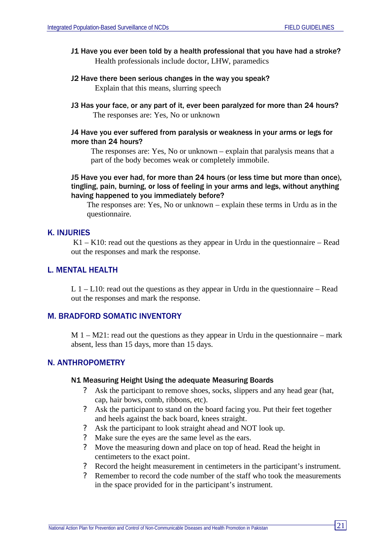- J1 Have you ever been told by a health professional that you have had a stroke? Health professionals include doctor, LHW, paramedics
- J2 Have there been serious changes in the way you speak? Explain that this means, slurring speech
- J3 Has your face, or any part of it, ever been paralyzed for more than 24 hours? The responses are: Yes, No or unknown

### J4 Have you ever suffered from paralysis or weakness in your arms or legs for more than 24 hours?

The responses are: Yes, No or unknown – explain that paralysis means that a part of the body becomes weak or completely immobile.

# J5 Have you ever had, for more than 24 hours (or less time but more than once), tingling, pain, burning, or loss of feeling in your arms and legs, without anything having happened to you immediately before?

The responses are: Yes, No or unknown – explain these terms in Urdu as in the questionnaire.

### K. INJURIES

 $K1 - K10$ : read out the questions as they appear in Urdu in the questionnaire – Read out the responses and mark the response.

# L. MENTAL HEALTH

L  $1 - L10$ : read out the questions as they appear in Urdu in the questionnaire – Read out the responses and mark the response.

### M. BRADFORD SOMATIC INVENTORY

 $M_1 - M_2$ 1: read out the questions as they appear in Urdu in the questionnaire – mark absent, less than 15 days, more than 15 days.

# N. ANTHROPOMETRY

### N1 Measuring Height Using the adequate Measuring Boards

- ? Ask the participant to remove shoes, socks, slippers and any head gear (hat, cap, hair bows, comb, ribbons, etc).
- ? Ask the participant to stand on the board facing you. Put their feet together and heels against the back board, knees straight.
- ? Ask the participant to look straight ahead and NOT look up.
- ? Make sure the eyes are the same level as the ears.
- ? Move the measuring down and place on top of head. Read the height in centimeters to the exact point.
- ? Record the height measurement in centimeters in the participant's instrument.
- ? Remember to record the code number of the staff who took the measurements in the space provided for in the participant's instrument.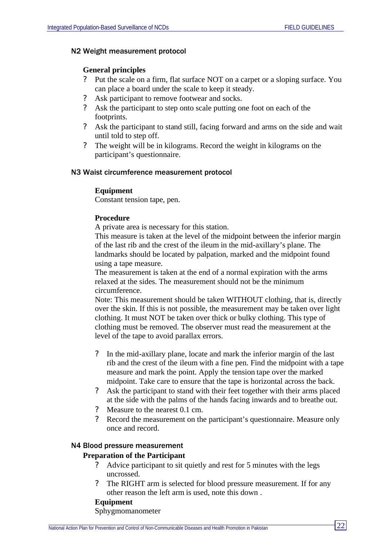### N2 Weight measurement protocol

# **General principles**

- ? Put the scale on a firm, flat surface NOT on a carpet or a sloping surface. You can place a board under the scale to keep it steady.
- ? Ask participant to remove footwear and socks.
- ? Ask the participant to step onto scale putting one foot on each of the footprints.
- ? Ask the participant to stand still, facing forward and arms on the side and wait until told to step off.
- ? The weight will be in kilograms. Record the weight in kilograms on the participant's questionnaire.

#### N3 Waist circumference measurement protocol

### **Equipment**

Constant tension tape, pen.

### **Procedure**

A private area is necessary for this station.

This measure is taken at the level of the midpoint between the inferior margin of the last rib and the crest of the ileum in the mid-axillary's plane. The landmarks should be located by palpation, marked and the midpoint found using a tape measure.

The measurement is taken at the end of a normal expiration with the arms relaxed at the sides. The measurement should not be the minimum circumference.

Note: This measurement should be taken WITHOUT clothing, that is, directly over the skin. If this is not possible, the measurement may be taken over light clothing. It must NOT be taken over thick or bulky clothing. This type of clothing must be removed. The observer must read the measurement at the level of the tape to avoid parallax errors.

- ? In the mid-axillary plane, locate and mark the inferior margin of the last rib and the crest of the ileum with a fine pen. Find the midpoint with a tape measure and mark the point. Apply the tension tape over the marked midpoint. Take care to ensure that the tape is horizontal across the back.
- ? Ask the participant to stand with their feet together with their arms placed at the side with the palms of the hands facing inwards and to breathe out.
- ? Measure to the nearest 0.1 cm.
- ? Record the measurement on the participant's questionnaire. Measure only once and record.

### N4 Blood pressure measurement

### **Preparation of the Participant**

- ? Advice participant to sit quietly and rest for 5 minutes with the legs uncrossed.
- ? The RIGHT arm is selected for blood pressure measurement. If for any other reason the left arm is used, note this down .

# **Equipment**

Sphygmomanometer